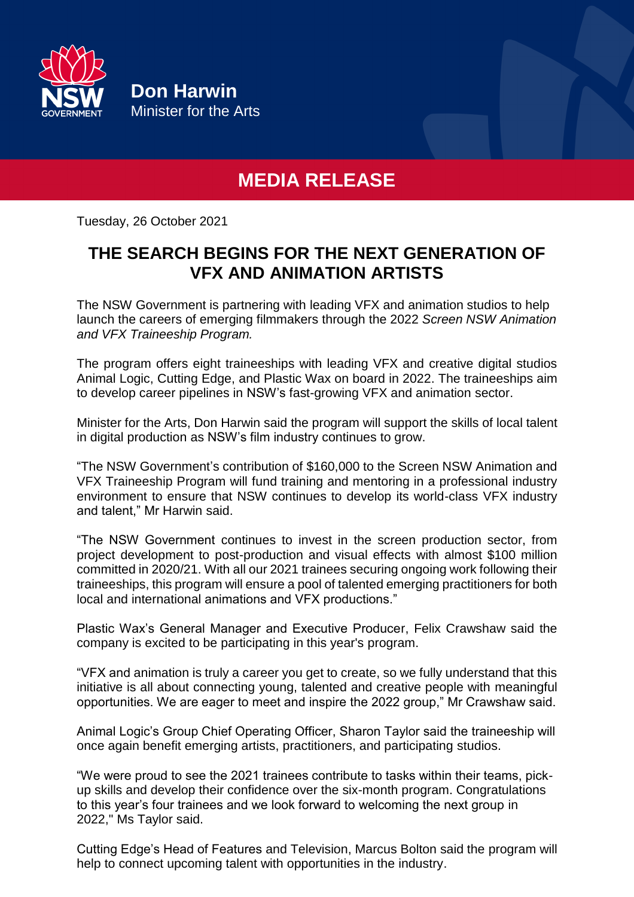

**Don Harwin** Minister for the Arts

## **MEDIA RELEASE**

Tuesday, 26 October 2021

## **THE SEARCH BEGINS FOR THE NEXT GENERATION OF VFX AND ANIMATION ARTISTS**

The NSW Government is partnering with leading VFX and animation studios to help launch the careers of emerging filmmakers through the 2022 *Screen NSW Animation and VFX Traineeship Program.*

The program offers eight traineeships with leading VFX and creative digital studios Animal Logic, Cutting Edge, and Plastic Wax on board in 2022. The traineeships aim to develop career pipelines in NSW's fast-growing VFX and animation sector.

Minister for the Arts, Don Harwin said the program will support the skills of local talent in digital production as NSW's film industry continues to grow.

"The NSW Government's contribution of \$160,000 to the Screen NSW Animation and VFX Traineeship Program will fund training and mentoring in a professional industry environment to ensure that NSW continues to develop its world-class VFX industry and talent," Mr Harwin said.

"The NSW Government continues to invest in the screen production sector, from project development to post-production and visual effects with almost \$100 million committed in 2020/21. With all our 2021 trainees securing ongoing work following their traineeships, this program will ensure a pool of talented emerging practitioners for both local and international animations and VFX productions."

Plastic Wax's General Manager and Executive Producer, Felix Crawshaw said the company is excited to be participating in this year's program.

"VFX and animation is truly a career you get to create, so we fully understand that this initiative is all about connecting young, talented and creative people with meaningful opportunities. We are eager to meet and inspire the 2022 group," Mr Crawshaw said.

Animal Logic's Group Chief Operating Officer, Sharon Taylor said the traineeship will once again benefit emerging artists, practitioners, and participating studios.

"We were proud to see the 2021 trainees contribute to tasks within their teams, pickup skills and develop their confidence over the six-month program. Congratulations to this year's four trainees and we look forward to welcoming the next group in 2022," Ms Taylor said.

Cutting Edge's Head of Features and Television, Marcus Bolton said the program will help to connect upcoming talent with opportunities in the industry.